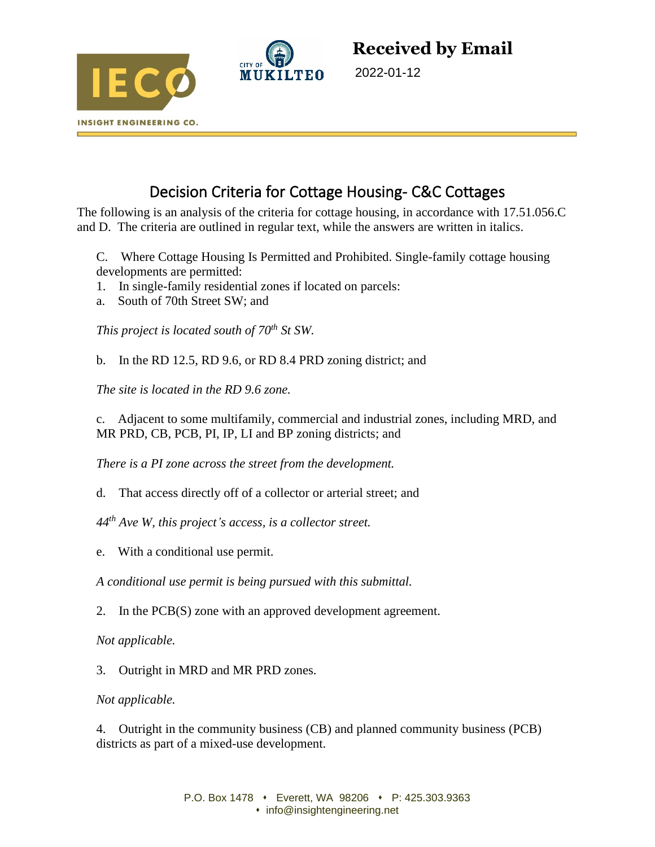



**Received by Email**

2022-01-12

# Decision Criteria for Cottage Housing- C&C Cottages

The following is an analysis of the criteria for cottage housing, in accordance with 17.51.056.C and D. The criteria are outlined in regular text, while the answers are written in italics.

C. Where Cottage Housing Is Permitted and Prohibited. Single-family cottage housing developments are permitted:

- 1. In single-family residential zones if located on parcels:
- a. South of 70th Street SW; and

*This project is located south of 70th St SW.* 

b. In the RD 12.5, RD 9.6, or RD 8.4 PRD zoning district; and

*The site is located in the RD 9.6 zone.* 

c. Adjacent to some multifamily, commercial and industrial zones, including MRD, and MR PRD, CB, PCB, PI, IP, LI and BP zoning districts; and

*There is a PI zone across the street from the development.* 

d. That access directly off of a collector or arterial street; and

*44 th Ave W, this project's access, is a collector street.* 

e. With a conditional use permit.

*A conditional use permit is being pursued with this submittal.* 

2. In the PCB(S) zone with an approved development agreement.

*Not applicable.* 

3. Outright in MRD and MR PRD zones.

# *Not applicable.*

4. Outright in the community business (CB) and planned community business (PCB) districts as part of a mixed-use development.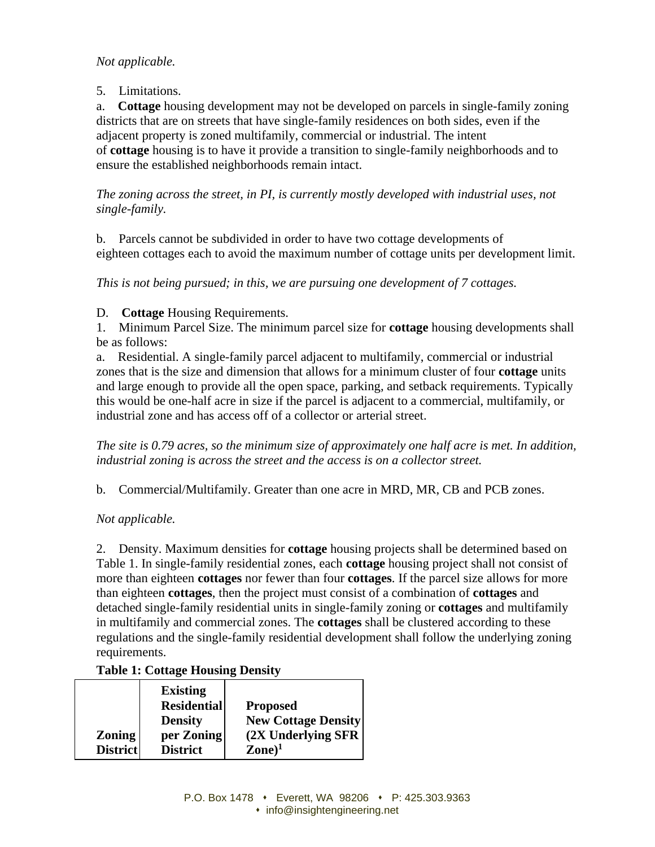# *Not applicable.*

5. Limitations.

a. **Cottage** housing development may not be developed on parcels in single-family zoning districts that are on streets that have single-family residences on both sides, even if the adjacent property is zoned multifamily, commercial or industrial. The intent of **cottage** housing is to have it provide a transition to single-family neighborhoods and to ensure the established neighborhoods remain intact.

*The zoning across the street, in PI, is currently mostly developed with industrial uses, not single-family.* 

b. Parcels cannot be subdivided in order to have two cottage developments of eighteen cottages each to avoid the maximum number of cottage units per development limit.

*This is not being pursued; in this, we are pursuing one development of 7 cottages.* 

D. **Cottage** Housing Requirements.

1. Minimum Parcel Size. The minimum parcel size for **cottage** housing developments shall be as follows:

a. Residential. A single-family parcel adjacent to multifamily, commercial or industrial zones that is the size and dimension that allows for a minimum cluster of four **cottage** units and large enough to provide all the open space, parking, and setback requirements. Typically this would be one-half acre in size if the parcel is adjacent to a commercial, multifamily, or industrial zone and has access off of a collector or arterial street.

*The site is 0.79 acres, so the minimum size of approximately one half acre is met. In addition, industrial zoning is across the street and the access is on a collector street.* 

b. Commercial/Multifamily. Greater than one acre in MRD, MR, CB and PCB zones.

*Not applicable.* 

2. Density. Maximum densities for **cottage** housing projects shall be determined based on Table 1. In single-family residential zones, each **cottage** housing project shall not consist of more than eighteen **cottages** nor fewer than four **cottages**. If the parcel size allows for more than eighteen **cottages**, then the project must consist of a combination of **cottages** and detached single-family residential units in single-family zoning or **cottages** and multifamily in multifamily and commercial zones. The **cottages** shall be clustered according to these regulations and the single-family residential development shall follow the underlying zoning requirements.

# **Table 1: Cottage Housing Density**

|                 | <b>Existing</b>    |                              |
|-----------------|--------------------|------------------------------|
|                 | <b>Residential</b> | <b>Proposed</b>              |
|                 | <b>Density</b>     | <b>New Cottage Density</b>   |
| <b>Zoning</b>   | per Zoning         | (2X Underlying SFR           |
| <b>District</b> | <b>District</b>    | $\mathbf{Zone}$ <sup>1</sup> |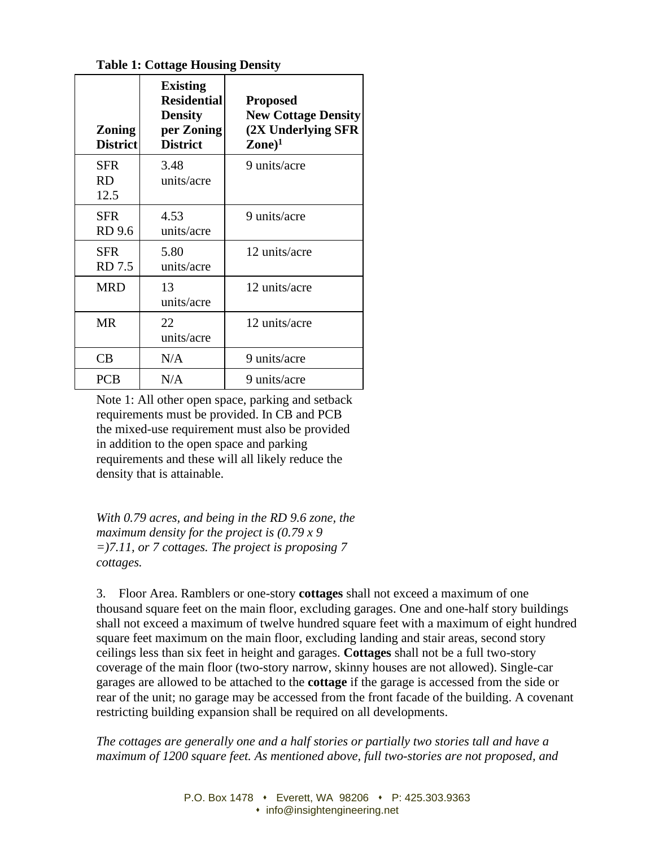**Table 1: Cottage Housing Density**

| <b>Zoning</b><br><b>District</b> | <b>Existing</b><br><b>Residential</b><br><b>Density</b><br>per Zoning<br><b>District</b> | <b>Proposed</b><br><b>New Cottage Density</b><br>(2X Underlying SFR<br>$\mathbf{Zone})^1$ |  |
|----------------------------------|------------------------------------------------------------------------------------------|-------------------------------------------------------------------------------------------|--|
| <b>SFR</b><br>RD.<br>12.5        | 3.48<br>units/acre                                                                       | 9 units/acre                                                                              |  |
| <b>SFR</b><br>RD 9.6             | 4.53<br>units/acre                                                                       | 9 units/acre                                                                              |  |
| <b>SFR</b><br>RD 7.5             | 5.80<br>units/acre                                                                       | 12 units/acre                                                                             |  |
| <b>MRD</b>                       | 13<br>units/acre                                                                         | 12 units/acre                                                                             |  |
| <b>MR</b>                        | 22<br>units/acre                                                                         | 12 units/acre                                                                             |  |
| CB                               | N/A                                                                                      | 9 units/acre                                                                              |  |
| <b>PCB</b>                       | N/A                                                                                      | 9 units/acre                                                                              |  |

Note 1: All other open space, parking and setback requirements must be provided. In CB and PCB the mixed-use requirement must also be provided in addition to the open space and parking requirements and these will all likely reduce the density that is attainable.

*With 0.79 acres, and being in the RD 9.6 zone, the maximum density for the project is (0.79 x 9 =)7.11, or 7 cottages. The project is proposing 7 cottages.* 

3. Floor Area. Ramblers or one-story **cottages** shall not exceed a maximum of one thousand square feet on the main floor, excluding garages. One and one-half story buildings shall not exceed a maximum of twelve hundred square feet with a maximum of eight hundred square feet maximum on the main floor, excluding landing and stair areas, second story ceilings less than six feet in height and garages. **Cottages** shall not be a full two-story coverage of the main floor (two-story narrow, skinny houses are not allowed). Single-car garages are allowed to be attached to the **cottage** if the garage is accessed from the side or rear of the unit; no garage may be accessed from the front facade of the building. A covenant restricting building expansion shall be required on all developments.

*The cottages are generally one and a half stories or partially two stories tall and have a maximum of 1200 square feet. As mentioned above, full two-stories are not proposed, and*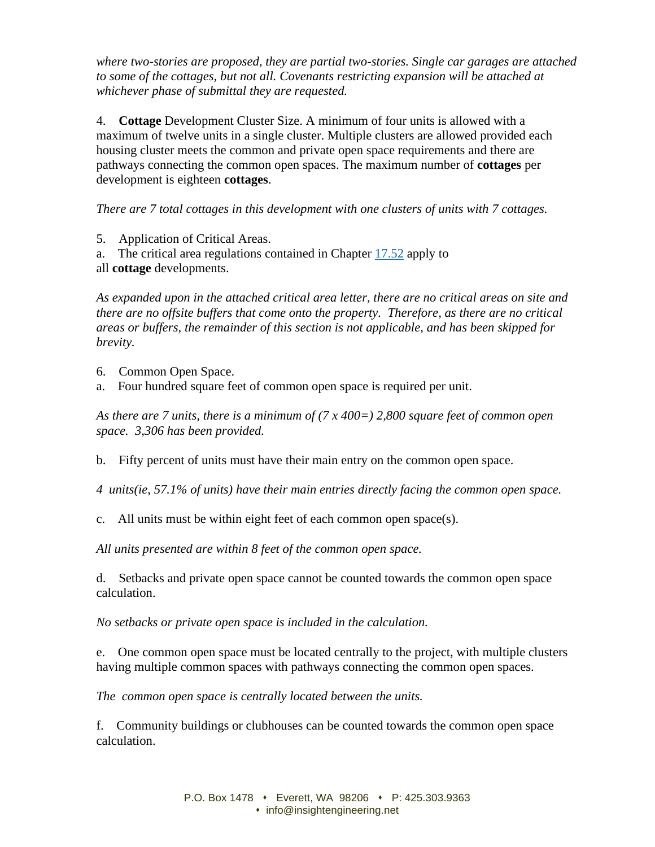*where two-stories are proposed, they are partial two-stories. Single car garages are attached to some of the cottages, but not all. Covenants restricting expansion will be attached at whichever phase of submittal they are requested.*

4. **Cottage** Development Cluster Size. A minimum of four units is allowed with a maximum of twelve units in a single cluster. Multiple clusters are allowed provided each housing cluster meets the common and private open space requirements and there are pathways connecting the common open spaces. The maximum number of **cottages** per development is eighteen **cottages**.

*There are 7 total cottages in this development with one clusters of units with 7 cottages.* 

5. Application of Critical Areas.

a. The critical area regulations contained in Chapter [17.52](https://www.codepublishing.com/WA/Mukilteo/#!/Mukilteo17/Mukilteo1752.html#17.52) apply to all **cottage** developments.

*As expanded upon in the attached critical area letter, there are no critical areas on site and there are no offsite buffers that come onto the property. Therefore, as there are no critical areas or buffers, the remainder of this section is not applicable, and has been skipped for brevity.* 

- 6. Common Open Space.
- a. Four hundred square feet of common open space is required per unit.

*As there are 7 units, there is a minimum of (7 x 400=) 2,800 square feet of common open space. 3,306 has been provided.* 

b. Fifty percent of units must have their main entry on the common open space.

*4 units(ie, 57.1% of units) have their main entries directly facing the common open space.* 

c. All units must be within eight feet of each common open space(s).

*All units presented are within 8 feet of the common open space.* 

d. Setbacks and private open space cannot be counted towards the common open space calculation.

*No setbacks or private open space is included in the calculation.*

e. One common open space must be located centrally to the project, with multiple clusters having multiple common spaces with pathways connecting the common open spaces.

*The common open space is centrally located between the units.* 

f. Community buildings or clubhouses can be counted towards the common open space calculation.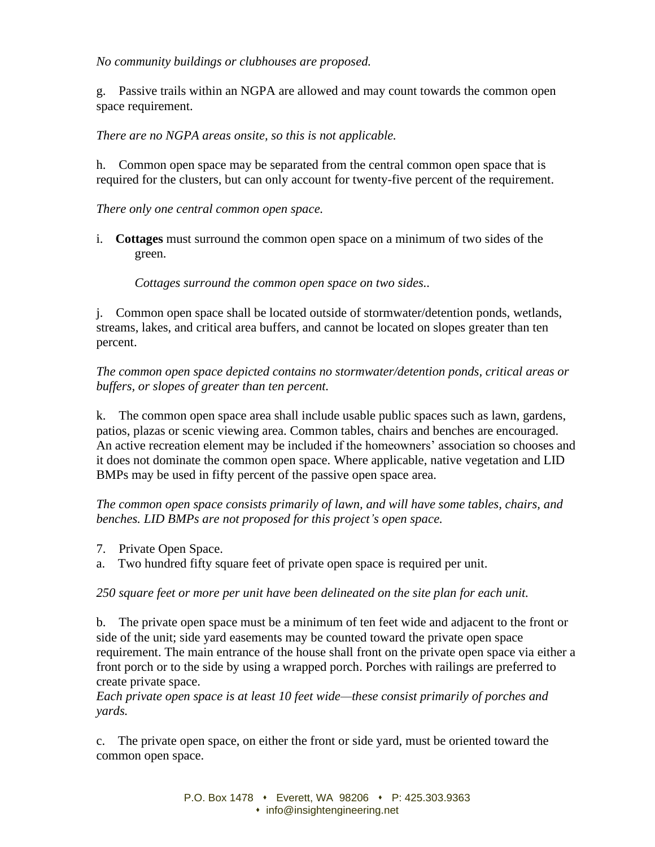#### *No community buildings or clubhouses are proposed.*

g. Passive trails within an NGPA are allowed and may count towards the common open space requirement.

### *There are no NGPA areas onsite, so this is not applicable.*

h. Common open space may be separated from the central common open space that is required for the clusters, but can only account for twenty-five percent of the requirement.

#### *There only one central common open space.*

i. **Cottages** must surround the common open space on a minimum of two sides of the green.

*Cottages surround the common open space on two sides..* 

j. Common open space shall be located outside of stormwater/detention ponds, wetlands, streams, lakes, and critical area buffers, and cannot be located on slopes greater than ten percent.

*The common open space depicted contains no stormwater/detention ponds, critical areas or buffers, or slopes of greater than ten percent.* 

k. The common open space area shall include usable public spaces such as lawn, gardens, patios, plazas or scenic viewing area. Common tables, chairs and benches are encouraged. An active recreation element may be included if the homeowners' association so chooses and it does not dominate the common open space. Where applicable, native vegetation and LID BMPs may be used in fifty percent of the passive open space area.

*The common open space consists primarily of lawn, and will have some tables, chairs, and benches. LID BMPs are not proposed for this project's open space.*

- 7. Private Open Space.
- a. Two hundred fifty square feet of private open space is required per unit.

*250 square feet or more per unit have been delineated on the site plan for each unit.*

b. The private open space must be a minimum of ten feet wide and adjacent to the front or side of the unit; side yard easements may be counted toward the private open space requirement. The main entrance of the house shall front on the private open space via either a front porch or to the side by using a wrapped porch. Porches with railings are preferred to create private space.

*Each private open space is at least 10 feet wide—these consist primarily of porches and yards.* 

c. The private open space, on either the front or side yard, must be oriented toward the common open space.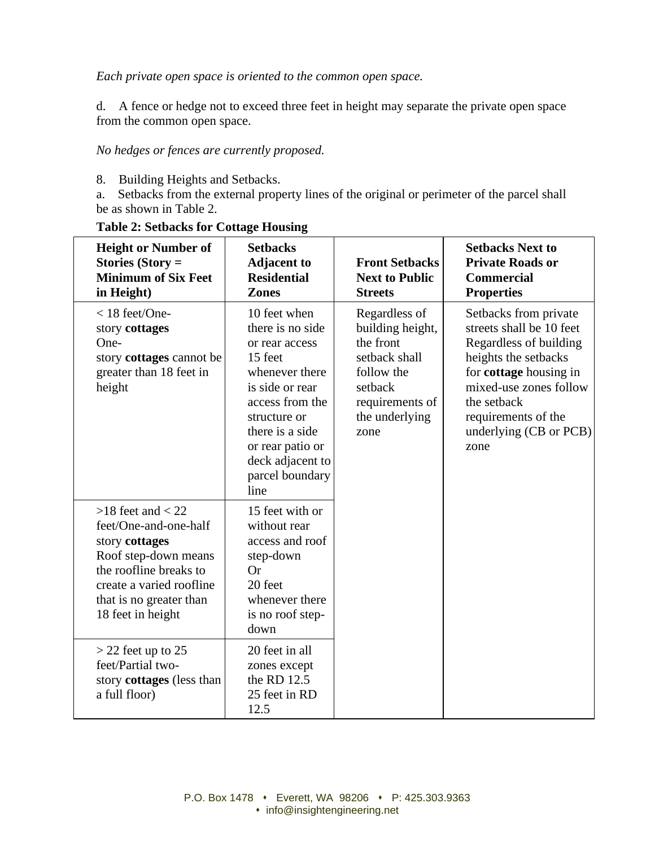*Each private open space is oriented to the common open space.*

d. A fence or hedge not to exceed three feet in height may separate the private open space from the common open space.

*No hedges or fences are currently proposed.*

8. Building Heights and Setbacks.

a. Setbacks from the external property lines of the original or perimeter of the parcel shall be as shown in Table 2.

| <b>Height or Number of</b><br>Stories (Story $=$<br><b>Minimum of Six Feet</b><br>in Height)                                                                                                   | <b>Setbacks</b><br><b>Adjacent to</b><br><b>Residential</b><br><b>Zones</b>                                                                                                                                                 | <b>Front Setbacks</b><br><b>Next to Public</b><br><b>Streets</b>                                                                      | <b>Setbacks Next to</b><br><b>Private Roads or</b><br><b>Commercial</b><br><b>Properties</b>                                                                                                                                    |
|------------------------------------------------------------------------------------------------------------------------------------------------------------------------------------------------|-----------------------------------------------------------------------------------------------------------------------------------------------------------------------------------------------------------------------------|---------------------------------------------------------------------------------------------------------------------------------------|---------------------------------------------------------------------------------------------------------------------------------------------------------------------------------------------------------------------------------|
| $<$ 18 feet/One-<br>story cottages<br>One-<br>story cottages cannot be<br>greater than 18 feet in<br>height                                                                                    | 10 feet when<br>there is no side<br>or rear access<br>15 feet<br>whenever there<br>is side or rear<br>access from the<br>structure or<br>there is a side<br>or rear patio or<br>deck adjacent to<br>parcel boundary<br>line | Regardless of<br>building height,<br>the front<br>setback shall<br>follow the<br>setback<br>requirements of<br>the underlying<br>zone | Setbacks from private<br>streets shall be 10 feet<br>Regardless of building<br>heights the setbacks<br>for cottage housing in<br>mixed-use zones follow<br>the setback<br>requirements of the<br>underlying (CB or PCB)<br>zone |
| $>18$ feet and $< 22$<br>feet/One-and-one-half<br>story cottages<br>Roof step-down means<br>the roofline breaks to<br>create a varied roofline<br>that is no greater than<br>18 feet in height | 15 feet with or<br>without rear<br>access and roof<br>step-down<br>Or<br>20 feet<br>whenever there<br>is no roof step-<br>down                                                                                              |                                                                                                                                       |                                                                                                                                                                                                                                 |
| $>$ 22 feet up to 25<br>feet/Partial two-<br>story <b>cottages</b> (less than<br>a full floor)                                                                                                 | 20 feet in all<br>zones except<br>the RD 12.5<br>25 feet in RD<br>12.5                                                                                                                                                      |                                                                                                                                       |                                                                                                                                                                                                                                 |

#### **Table 2: Setbacks for Cottage Housing**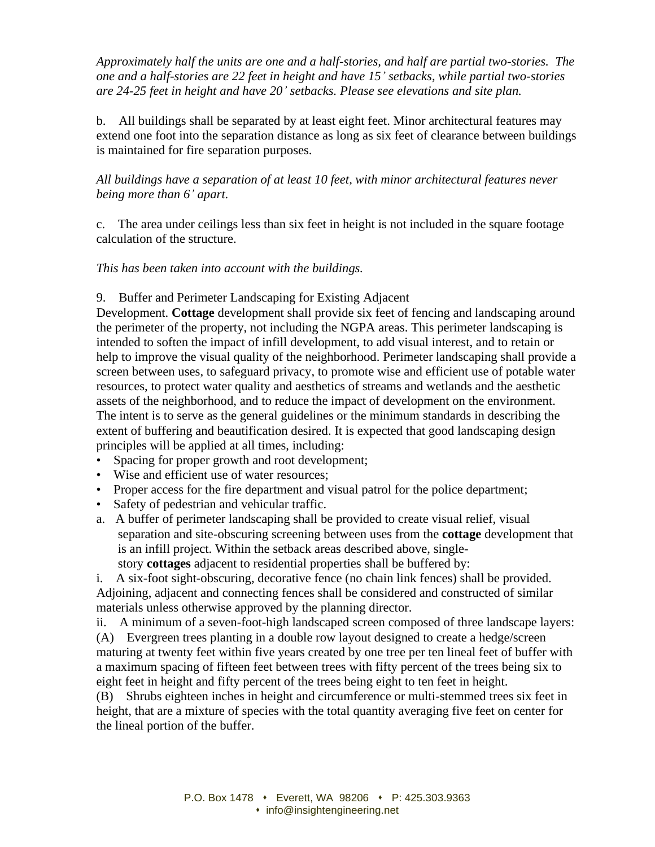*Approximately half the units are one and a half-stories, and half are partial two-stories. The one and a half-stories are 22 feet in height and have 15' setbacks, while partial two-stories are 24-25 feet in height and have 20' setbacks. Please see elevations and site plan.* 

b. All buildings shall be separated by at least eight feet. Minor architectural features may extend one foot into the separation distance as long as six feet of clearance between buildings is maintained for fire separation purposes.

*All buildings have a separation of at least 10 feet, with minor architectural features never being more than 6' apart.* 

c. The area under ceilings less than six feet in height is not included in the square footage calculation of the structure.

#### *This has been taken into account with the buildings.*

#### 9. Buffer and Perimeter Landscaping for Existing Adjacent

Development. **Cottage** development shall provide six feet of fencing and landscaping around the perimeter of the property, not including the NGPA areas. This perimeter landscaping is intended to soften the impact of infill development, to add visual interest, and to retain or help to improve the visual quality of the neighborhood. Perimeter landscaping shall provide a screen between uses, to safeguard privacy, to promote wise and efficient use of potable water resources, to protect water quality and aesthetics of streams and wetlands and the aesthetic assets of the neighborhood, and to reduce the impact of development on the environment. The intent is to serve as the general guidelines or the minimum standards in describing the extent of buffering and beautification desired. It is expected that good landscaping design principles will be applied at all times, including:

- Spacing for proper growth and root development:
- Wise and efficient use of water resources;
- Proper access for the fire department and visual patrol for the police department;
- Safety of pedestrian and vehicular traffic.
- a. A buffer of perimeter landscaping shall be provided to create visual relief, visual separation and site-obscuring screening between uses from the **cottage** development that is an infill project. Within the setback areas described above, singlestory **cottages** adjacent to residential properties shall be buffered by:

i. A six-foot sight-obscuring, decorative fence (no chain link fences) shall be provided. Adjoining, adjacent and connecting fences shall be considered and constructed of similar materials unless otherwise approved by the planning director.

ii. A minimum of a seven-foot-high landscaped screen composed of three landscape layers: (A) Evergreen trees planting in a double row layout designed to create a hedge/screen maturing at twenty feet within five years created by one tree per ten lineal feet of buffer with a maximum spacing of fifteen feet between trees with fifty percent of the trees being six to eight feet in height and fifty percent of the trees being eight to ten feet in height.

(B) Shrubs eighteen inches in height and circumference or multi-stemmed trees six feet in height, that are a mixture of species with the total quantity averaging five feet on center for the lineal portion of the buffer.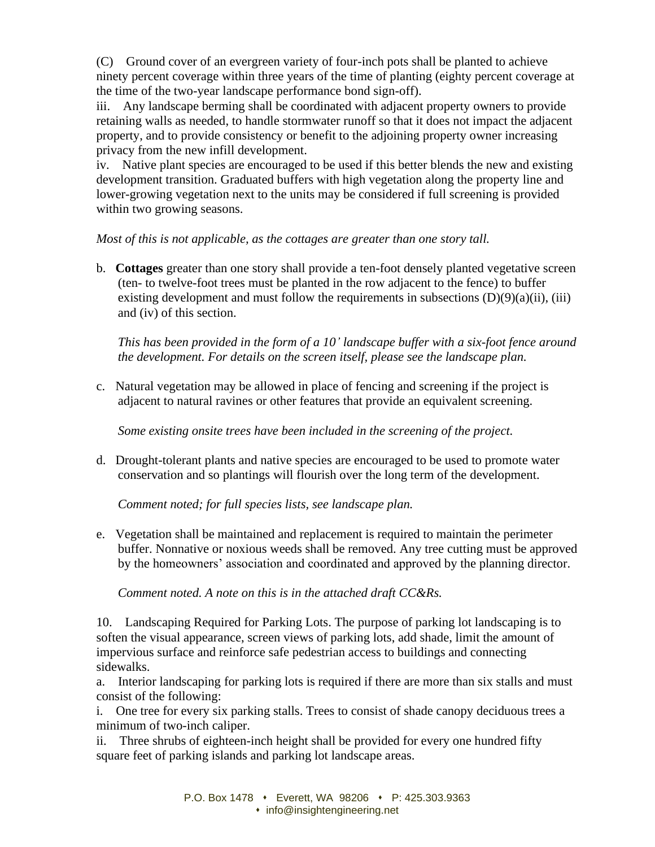(C) Ground cover of an evergreen variety of four-inch pots shall be planted to achieve ninety percent coverage within three years of the time of planting (eighty percent coverage at the time of the two-year landscape performance bond sign-off).

iii. Any landscape berming shall be coordinated with adjacent property owners to provide retaining walls as needed, to handle stormwater runoff so that it does not impact the adjacent property, and to provide consistency or benefit to the adjoining property owner increasing privacy from the new infill development.

iv. Native plant species are encouraged to be used if this better blends the new and existing development transition. Graduated buffers with high vegetation along the property line and lower-growing vegetation next to the units may be considered if full screening is provided within two growing seasons.

*Most of this is not applicable, as the cottages are greater than one story tall.* 

b. **Cottages** greater than one story shall provide a ten-foot densely planted vegetative screen (ten- to twelve-foot trees must be planted in the row adjacent to the fence) to buffer existing development and must follow the requirements in subsections  $(D)(9)(a)(ii)$ , (iii) and (iv) of this section.

*This has been provided in the form of a 10' landscape buffer with a six-foot fence around the development. For details on the screen itself, please see the landscape plan.* 

c. Natural vegetation may be allowed in place of fencing and screening if the project is adjacent to natural ravines or other features that provide an equivalent screening.

*Some existing onsite trees have been included in the screening of the project.*

d. Drought-tolerant plants and native species are encouraged to be used to promote water conservation and so plantings will flourish over the long term of the development.

*Comment noted; for full species lists, see landscape plan.*

e. Vegetation shall be maintained and replacement is required to maintain the perimeter buffer. Nonnative or noxious weeds shall be removed. Any tree cutting must be approved by the homeowners' association and coordinated and approved by the planning director.

*Comment noted. A note on this is in the attached draft CC&Rs.*

10. Landscaping Required for Parking Lots. The purpose of parking lot landscaping is to soften the visual appearance, screen views of parking lots, add shade, limit the amount of impervious surface and reinforce safe pedestrian access to buildings and connecting sidewalks.

a. Interior landscaping for parking lots is required if there are more than six stalls and must consist of the following:

i. One tree for every six parking stalls. Trees to consist of shade canopy deciduous trees a minimum of two-inch caliper.

ii. Three shrubs of eighteen-inch height shall be provided for every one hundred fifty square feet of parking islands and parking lot landscape areas.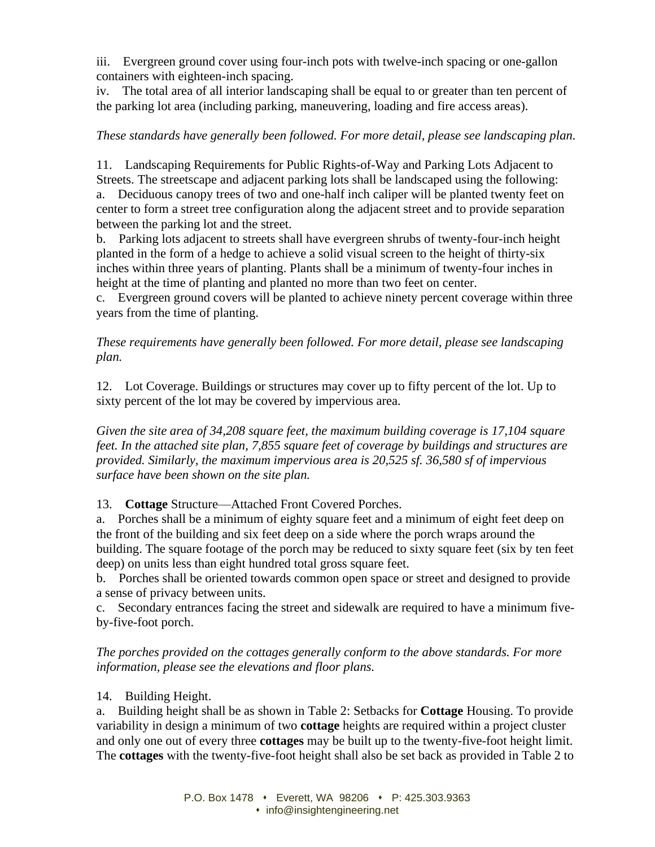iii. Evergreen ground cover using four-inch pots with twelve-inch spacing or one-gallon containers with eighteen-inch spacing.

iv. The total area of all interior landscaping shall be equal to or greater than ten percent of the parking lot area (including parking, maneuvering, loading and fire access areas).

# *These standards have generally been followed. For more detail, please see landscaping plan.*

11. Landscaping Requirements for Public Rights-of-Way and Parking Lots Adjacent to Streets. The streetscape and adjacent parking lots shall be landscaped using the following: a. Deciduous canopy trees of two and one-half inch caliper will be planted twenty feet on center to form a street tree configuration along the adjacent street and to provide separation between the parking lot and the street.

b. Parking lots adjacent to streets shall have evergreen shrubs of twenty-four-inch height planted in the form of a hedge to achieve a solid visual screen to the height of thirty-six inches within three years of planting. Plants shall be a minimum of twenty-four inches in height at the time of planting and planted no more than two feet on center.

c. Evergreen ground covers will be planted to achieve ninety percent coverage within three years from the time of planting.

# *These requirements have generally been followed. For more detail, please see landscaping plan.*

12. Lot Coverage. Buildings or structures may cover up to fifty percent of the lot. Up to sixty percent of the lot may be covered by impervious area.

*Given the site area of 34,208 square feet, the maximum building coverage is 17,104 square feet. In the attached site plan, 7,855 square feet of coverage by buildings and structures are provided. Similarly, the maximum impervious area is 20,525 sf. 36,580 sf of impervious surface have been shown on the site plan.* 

13. **Cottage** Structure—Attached Front Covered Porches.

a. Porches shall be a minimum of eighty square feet and a minimum of eight feet deep on the front of the building and six feet deep on a side where the porch wraps around the building. The square footage of the porch may be reduced to sixty square feet (six by ten feet deep) on units less than eight hundred total gross square feet.

b. Porches shall be oriented towards common open space or street and designed to provide a sense of privacy between units.

c. Secondary entrances facing the street and sidewalk are required to have a minimum fiveby-five-foot porch.

*The porches provided on the cottages generally conform to the above standards. For more information, please see the elevations and floor plans.* 

# 14. Building Height.

a. Building height shall be as shown in Table 2: Setbacks for **Cottage** Housing. To provide variability in design a minimum of two **cottage** heights are required within a project cluster and only one out of every three **cottages** may be built up to the twenty-five-foot height limit. The **cottages** with the twenty-five-foot height shall also be set back as provided in Table 2 to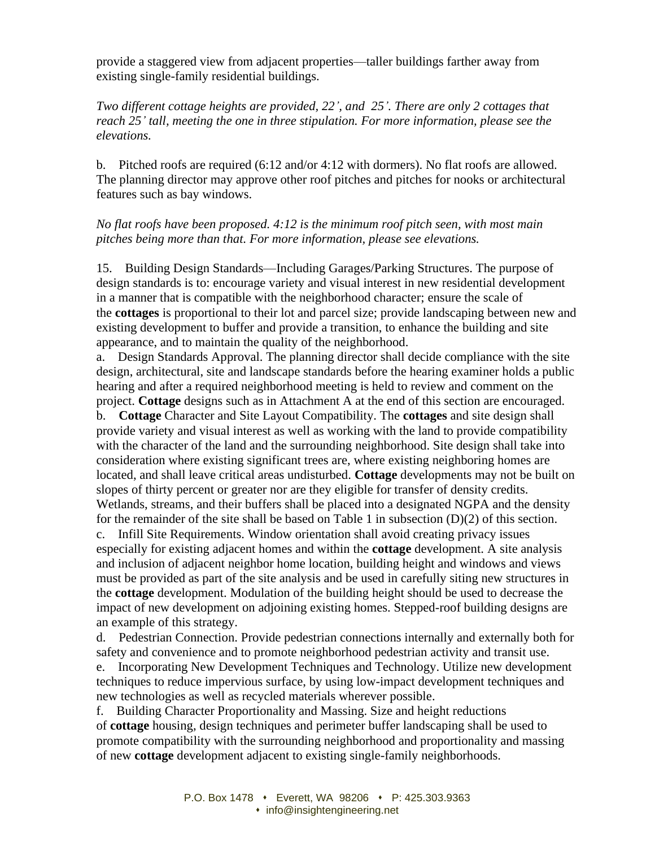provide a staggered view from adjacent properties—taller buildings farther away from existing single-family residential buildings.

*Two different cottage heights are provided, 22', and 25'. There are only 2 cottages that reach 25' tall, meeting the one in three stipulation. For more information, please see the elevations.* 

b. Pitched roofs are required (6:12 and/or 4:12 with dormers). No flat roofs are allowed. The planning director may approve other roof pitches and pitches for nooks or architectural features such as bay windows.

#### *No flat roofs have been proposed. 4:12 is the minimum roof pitch seen, with most main pitches being more than that. For more information, please see elevations.*

15. Building Design Standards—Including Garages/Parking Structures. The purpose of design standards is to: encourage variety and visual interest in new residential development in a manner that is compatible with the neighborhood character; ensure the scale of the **cottages** is proportional to their lot and parcel size; provide landscaping between new and existing development to buffer and provide a transition, to enhance the building and site appearance, and to maintain the quality of the neighborhood.

a. Design Standards Approval. The planning director shall decide compliance with the site design, architectural, site and landscape standards before the hearing examiner holds a public hearing and after a required neighborhood meeting is held to review and comment on the project. **Cottage** designs such as in Attachment A at the end of this section are encouraged. b. **Cottage** Character and Site Layout Compatibility. The **cottages** and site design shall provide variety and visual interest as well as working with the land to provide compatibility with the character of the land and the surrounding neighborhood. Site design shall take into consideration where existing significant trees are, where existing neighboring homes are located, and shall leave critical areas undisturbed. **Cottage** developments may not be built on slopes of thirty percent or greater nor are they eligible for transfer of density credits. Wetlands, streams, and their buffers shall be placed into a designated NGPA and the density for the remainder of the site shall be based on Table 1 in subsection (D)(2) of this section. c. Infill Site Requirements. Window orientation shall avoid creating privacy issues especially for existing adjacent homes and within the **cottage** development. A site analysis and inclusion of adjacent neighbor home location, building height and windows and views must be provided as part of the site analysis and be used in carefully siting new structures in the **cottage** development. Modulation of the building height should be used to decrease the impact of new development on adjoining existing homes. Stepped-roof building designs are an example of this strategy.

d. Pedestrian Connection. Provide pedestrian connections internally and externally both for safety and convenience and to promote neighborhood pedestrian activity and transit use. e. Incorporating New Development Techniques and Technology. Utilize new development techniques to reduce impervious surface, by using low-impact development techniques and new technologies as well as recycled materials wherever possible.

f. Building Character Proportionality and Massing. Size and height reductions of **cottage** housing, design techniques and perimeter buffer landscaping shall be used to promote compatibility with the surrounding neighborhood and proportionality and massing of new **cottage** development adjacent to existing single-family neighborhoods.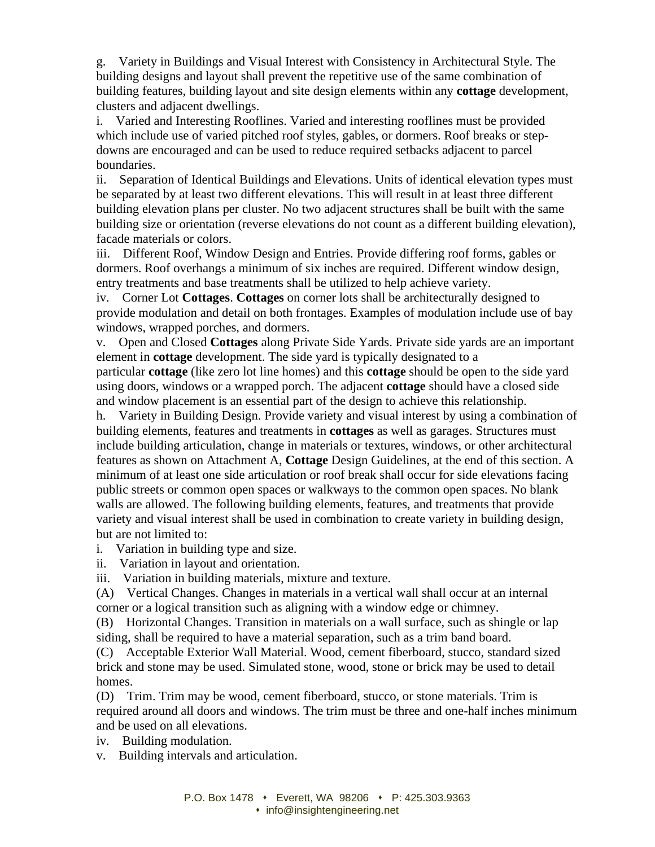g. Variety in Buildings and Visual Interest with Consistency in Architectural Style. The building designs and layout shall prevent the repetitive use of the same combination of building features, building layout and site design elements within any **cottage** development, clusters and adjacent dwellings.

i. Varied and Interesting Rooflines. Varied and interesting rooflines must be provided which include use of varied pitched roof styles, gables, or dormers. Roof breaks or stepdowns are encouraged and can be used to reduce required setbacks adjacent to parcel boundaries.

ii. Separation of Identical Buildings and Elevations. Units of identical elevation types must be separated by at least two different elevations. This will result in at least three different building elevation plans per cluster. No two adjacent structures shall be built with the same building size or orientation (reverse elevations do not count as a different building elevation), facade materials or colors.

iii. Different Roof, Window Design and Entries. Provide differing roof forms, gables or dormers. Roof overhangs a minimum of six inches are required. Different window design, entry treatments and base treatments shall be utilized to help achieve variety.

iv. Corner Lot **Cottages**. **Cottages** on corner lots shall be architecturally designed to provide modulation and detail on both frontages. Examples of modulation include use of bay windows, wrapped porches, and dormers.

v. Open and Closed **Cottages** along Private Side Yards. Private side yards are an important element in **cottage** development. The side yard is typically designated to a particular **cottage** (like zero lot line homes) and this **cottage** should be open to the side yard using doors, windows or a wrapped porch. The adjacent **cottage** should have a closed side and window placement is an essential part of the design to achieve this relationship.

h. Variety in Building Design. Provide variety and visual interest by using a combination of building elements, features and treatments in **cottages** as well as garages. Structures must include building articulation, change in materials or textures, windows, or other architectural features as shown on Attachment A, **Cottage** Design Guidelines, at the end of this section. A minimum of at least one side articulation or roof break shall occur for side elevations facing public streets or common open spaces or walkways to the common open spaces. No blank walls are allowed. The following building elements, features, and treatments that provide variety and visual interest shall be used in combination to create variety in building design, but are not limited to:

i. Variation in building type and size.

ii. Variation in layout and orientation.

iii. Variation in building materials, mixture and texture.

(A) Vertical Changes. Changes in materials in a vertical wall shall occur at an internal corner or a logical transition such as aligning with a window edge or chimney.

(B) Horizontal Changes. Transition in materials on a wall surface, such as shingle or lap siding, shall be required to have a material separation, such as a trim band board.

(C) Acceptable Exterior Wall Material. Wood, cement fiberboard, stucco, standard sized brick and stone may be used. Simulated stone, wood, stone or brick may be used to detail homes.

(D) Trim. Trim may be wood, cement fiberboard, stucco, or stone materials. Trim is required around all doors and windows. The trim must be three and one-half inches minimum and be used on all elevations.

iv. Building modulation.

v. Building intervals and articulation.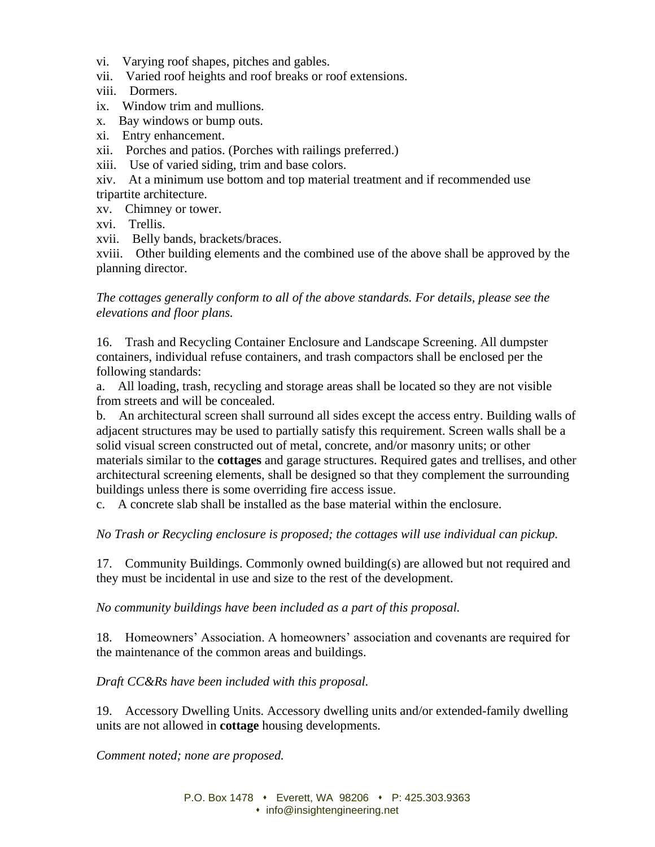- vi. Varying roof shapes, pitches and gables.
- vii. Varied roof heights and roof breaks or roof extensions.
- viii. Dormers.
- ix. Window trim and mullions.
- x. Bay windows or bump outs.
- xi. Entry enhancement.
- xii. Porches and patios. (Porches with railings preferred.)
- xiii. Use of varied siding, trim and base colors.
- xiv. At a minimum use bottom and top material treatment and if recommended use tripartite architecture.
- xv. Chimney or tower.
- xvi. Trellis.
- xvii. Belly bands, brackets/braces.

xviii. Other building elements and the combined use of the above shall be approved by the planning director.

*The cottages generally conform to all of the above standards. For details, please see the elevations and floor plans.* 

16. Trash and Recycling Container Enclosure and Landscape Screening. All dumpster containers, individual refuse containers, and trash compactors shall be enclosed per the following standards:

a. All loading, trash, recycling and storage areas shall be located so they are not visible from streets and will be concealed.

b. An architectural screen shall surround all sides except the access entry. Building walls of adjacent structures may be used to partially satisfy this requirement. Screen walls shall be a solid visual screen constructed out of metal, concrete, and/or masonry units; or other materials similar to the **cottages** and garage structures. Required gates and trellises, and other architectural screening elements, shall be designed so that they complement the surrounding buildings unless there is some overriding fire access issue.

c. A concrete slab shall be installed as the base material within the enclosure.

*No Trash or Recycling enclosure is proposed; the cottages will use individual can pickup.* 

17. Community Buildings. Commonly owned building(s) are allowed but not required and they must be incidental in use and size to the rest of the development.

*No community buildings have been included as a part of this proposal.*

18. Homeowners' Association. A homeowners' association and covenants are required for the maintenance of the common areas and buildings.

*Draft CC&Rs have been included with this proposal.*

19. Accessory Dwelling Units. Accessory dwelling units and/or extended-family dwelling units are not allowed in **cottage** housing developments.

*Comment noted; none are proposed.*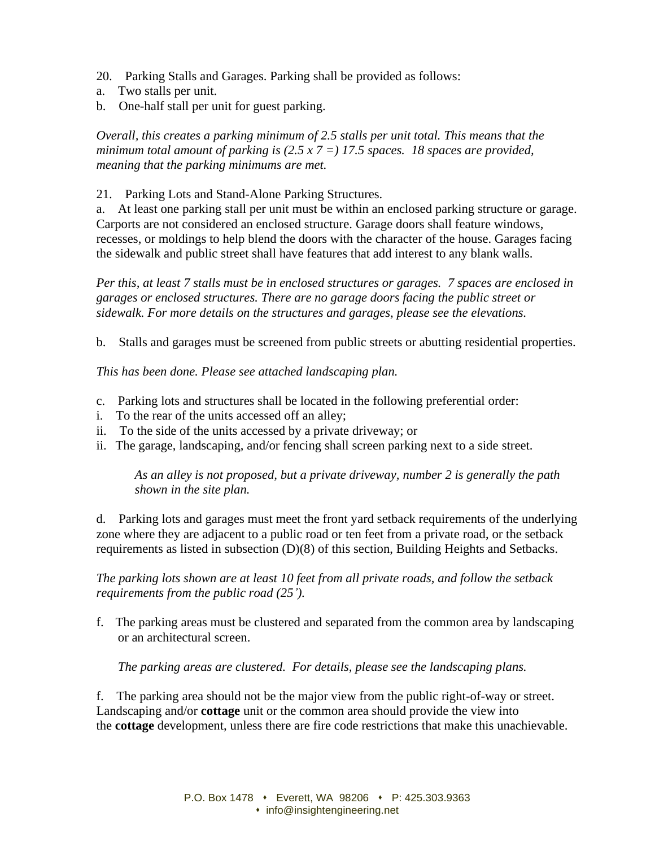- 20. Parking Stalls and Garages. Parking shall be provided as follows:
- a. Two stalls per unit.
- b. One-half stall per unit for guest parking.

*Overall, this creates a parking minimum of 2.5 stalls per unit total. This means that the minimum total amount of parking is (2.5 x 7 =) 17.5 spaces. 18 spaces are provided, meaning that the parking minimums are met.* 

21. Parking Lots and Stand-Alone Parking Structures.

a. At least one parking stall per unit must be within an enclosed parking structure or garage. Carports are not considered an enclosed structure. Garage doors shall feature windows, recesses, or moldings to help blend the doors with the character of the house. Garages facing the sidewalk and public street shall have features that add interest to any blank walls.

*Per this, at least 7 stalls must be in enclosed structures or garages. 7 spaces are enclosed in garages or enclosed structures. There are no garage doors facing the public street or sidewalk. For more details on the structures and garages, please see the elevations.* 

b. Stalls and garages must be screened from public streets or abutting residential properties.

*This has been done. Please see attached landscaping plan.*

- c. Parking lots and structures shall be located in the following preferential order:
- i. To the rear of the units accessed off an alley;
- ii. To the side of the units accessed by a private driveway; or
- ii. The garage, landscaping, and/or fencing shall screen parking next to a side street.

*As an alley is not proposed, but a private driveway, number 2 is generally the path shown in the site plan.*

d. Parking lots and garages must meet the front yard setback requirements of the underlying zone where they are adjacent to a public road or ten feet from a private road, or the setback requirements as listed in subsection (D)(8) of this section, Building Heights and Setbacks.

*The parking lots shown are at least 10 feet from all private roads, and follow the setback requirements from the public road (25').* 

f. The parking areas must be clustered and separated from the common area by landscaping or an architectural screen.

*The parking areas are clustered. For details, please see the landscaping plans.* 

f. The parking area should not be the major view from the public right-of-way or street. Landscaping and/or **cottage** unit or the common area should provide the view into the **cottage** development, unless there are fire code restrictions that make this unachievable.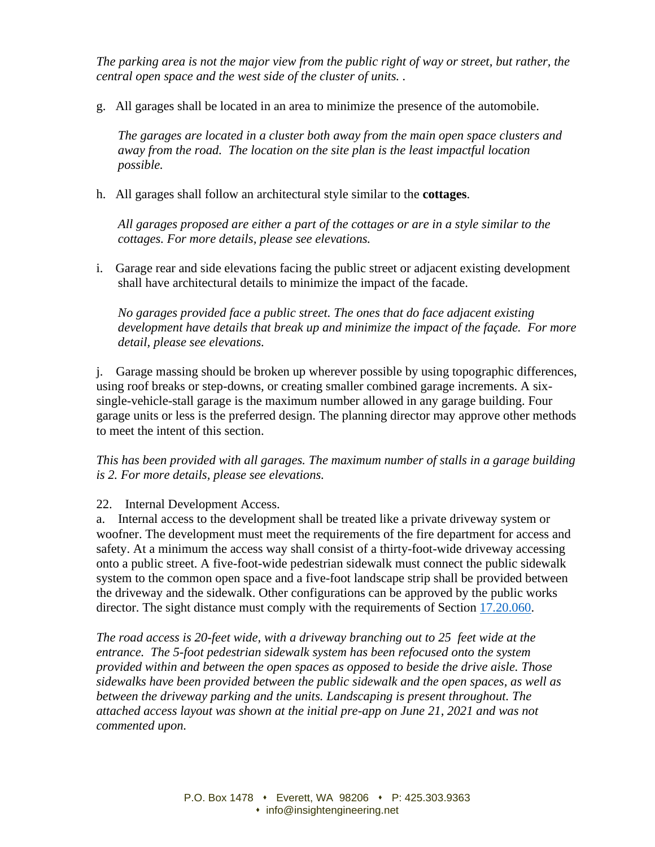*The parking area is not the major view from the public right of way or street, but rather, the central open space and the west side of the cluster of units. .* 

g. All garages shall be located in an area to minimize the presence of the automobile.

*The garages are located in a cluster both away from the main open space clusters and away from the road. The location on the site plan is the least impactful location possible.* 

h. All garages shall follow an architectural style similar to the **cottages**.

*All garages proposed are either a part of the cottages or are in a style similar to the cottages. For more details, please see elevations.* 

i. Garage rear and side elevations facing the public street or adjacent existing development shall have architectural details to minimize the impact of the facade.

*No garages provided face a public street. The ones that do face adjacent existing development have details that break up and minimize the impact of the façade. For more detail, please see elevations.* 

j. Garage massing should be broken up wherever possible by using topographic differences, using roof breaks or step-downs, or creating smaller combined garage increments. A sixsingle-vehicle-stall garage is the maximum number allowed in any garage building. Four garage units or less is the preferred design. The planning director may approve other methods to meet the intent of this section.

*This has been provided with all garages. The maximum number of stalls in a garage building is 2. For more details, please see elevations.* 

22. Internal Development Access.

a. Internal access to the development shall be treated like a private driveway system or woofner. The development must meet the requirements of the fire department for access and safety. At a minimum the access way shall consist of a thirty-foot-wide driveway accessing onto a public street. A five-foot-wide pedestrian sidewalk must connect the public sidewalk system to the common open space and a five-foot landscape strip shall be provided between the driveway and the sidewalk. Other configurations can be approved by the public works director. The sight distance must comply with the requirements of Section [17.20.060.](https://www.codepublishing.com/WA/Mukilteo/#!/Mukilteo17/Mukilteo1720.html#17.20.060)

*The road access is 20-feet wide, with a driveway branching out to 25 feet wide at the entrance. The 5-foot pedestrian sidewalk system has been refocused onto the system provided within and between the open spaces as opposed to beside the drive aisle. Those sidewalks have been provided between the public sidewalk and the open spaces, as well as between the driveway parking and the units. Landscaping is present throughout. The attached access layout was shown at the initial pre-app on June 21, 2021 and was not commented upon.*